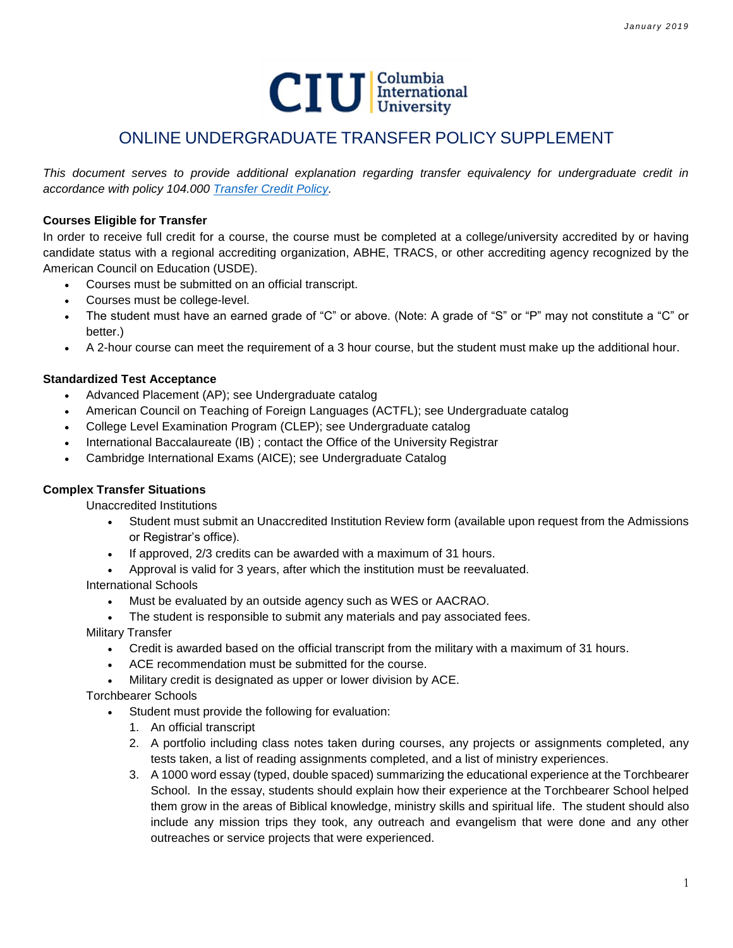

# ONLINE UNDERGRADUATE TRANSFER POLICY SUPPLEMENT

*This document serves to provide additional explanation regarding transfer equivalency for undergraduate credit in accordance with policy 104.000 [Transfer Credit Policy.](http://www.ciu.edu/sites/default/files/Policies/104%20000%20Transfer%20Credit%20Policy.pdf)*

# **Courses Eligible for Transfer**

In order to receive full credit for a course, the course must be completed at a college/university accredited by or having candidate status with a regional accrediting organization, ABHE, TRACS, or other accrediting agency recognized by the American Council on Education (USDE).

- Courses must be submitted on an official transcript.
- Courses must be college-level.
- The student must have an earned grade of "C" or above. (Note: A grade of "S" or "P" may not constitute a "C" or better.)
- A 2-hour course can meet the requirement of a 3 hour course, but the student must make up the additional hour.

# **Standardized Test Acceptance**

- Advanced Placement (AP); see Undergraduate catalog
- American Council on Teaching of Foreign Languages (ACTFL); see Undergraduate catalog
- College Level Examination Program (CLEP); see Undergraduate catalog
- International Baccalaureate (IB) ; contact the Office of the University Registrar
- Cambridge International Exams (AICE); see Undergraduate Catalog

### **Complex Transfer Situations**

Unaccredited Institutions

- Student must submit an Unaccredited Institution Review form (available upon request from the Admissions or Registrar's office).
- If approved, 2/3 credits can be awarded with a maximum of 31 hours.
- Approval is valid for 3 years, after which the institution must be reevaluated.

International Schools

- Must be evaluated by an outside agency such as WES or AACRAO.
- The student is responsible to submit any materials and pay associated fees.

Military Transfer

- Credit is awarded based on the official transcript from the military with a maximum of 31 hours.
- ACE recommendation must be submitted for the course.
- Military credit is designated as upper or lower division by ACE.

Torchbearer Schools

- Student must provide the following for evaluation:
	- 1. An official transcript
	- 2. A portfolio including class notes taken during courses, any projects or assignments completed, any tests taken, a list of reading assignments completed, and a list of ministry experiences.
	- 3. A 1000 word essay (typed, double spaced) summarizing the educational experience at the Torchbearer School. In the essay, students should explain how their experience at the Torchbearer School helped them grow in the areas of Biblical knowledge, ministry skills and spiritual life. The student should also include any mission trips they took, any outreach and evangelism that were done and any other outreaches or service projects that were experienced.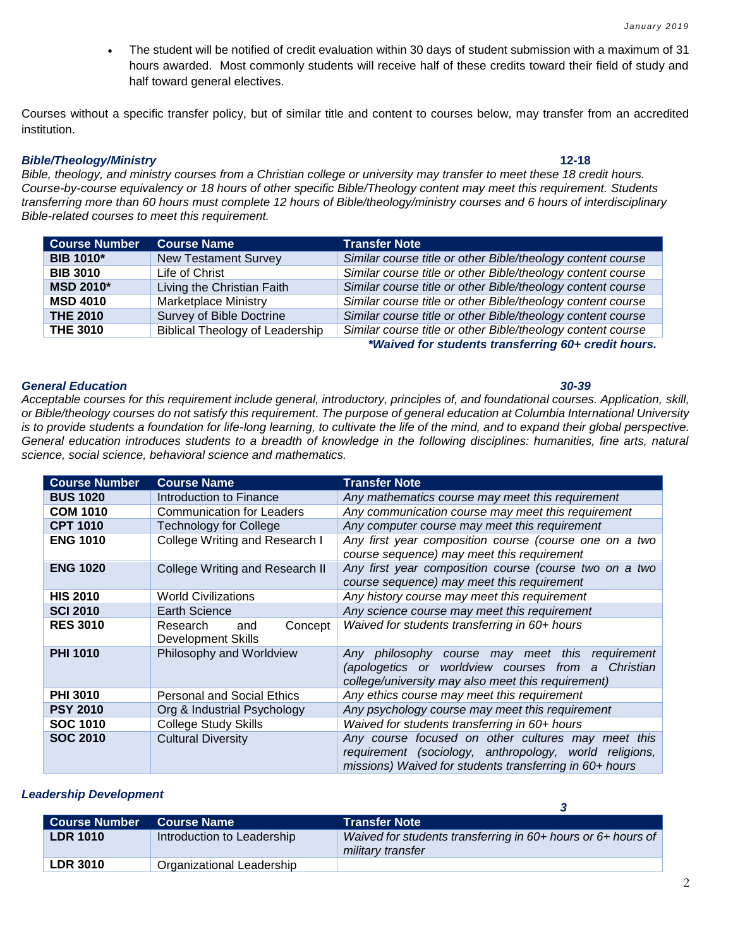The student will be notified of credit evaluation within 30 days of student submission with a maximum of 31 hours awarded. Most commonly students will receive half of these credits toward their field of study and half toward general electives.

Courses without a specific transfer policy, but of similar title and content to courses below, may transfer from an accredited institution.

### *Bible/Theology/Ministry* **12-18**

*Bible, theology, and ministry courses from a Christian college or university may transfer to meet these 18 credit hours. Course-by-course equivalency or 18 hours of other specific Bible/Theology content may meet this requirement. Students transferring more than 60 hours must complete 12 hours of Bible/theology/ministry courses and 6 hours of interdisciplinary Bible-related courses to meet this requirement.* 

| <b>Course Number</b> | <b>Course Name</b>                     | <b>Transfer Note</b>                                        |
|----------------------|----------------------------------------|-------------------------------------------------------------|
| <b>BIB 1010*</b>     | <b>New Testament Survey</b>            | Similar course title or other Bible/theology content course |
| <b>BIB 3010</b>      | Life of Christ                         | Similar course title or other Bible/theology content course |
| <b>MSD 2010*</b>     | Living the Christian Faith             | Similar course title or other Bible/theology content course |
| <b>MSD 4010</b>      | <b>Marketplace Ministry</b>            | Similar course title or other Bible/theology content course |
| <b>THE 2010</b>      | <b>Survey of Bible Doctrine</b>        | Similar course title or other Bible/theology content course |
| <b>THE 3010</b>      | <b>Biblical Theology of Leadership</b> | Similar course title or other Bible/theology content course |

*\*Waived for students transferring 60+ credit hours.*

### *General Education 30-39*

*Acceptable courses for this requirement include general, introductory, principles of, and foundational courses. Application, skill, or Bible/theology courses do not satisfy this requirement. The purpose of general education at Columbia International University*  is to provide students a foundation for life-long learning, to cultivate the life of the mind, and to expand their global perspective. *General education introduces students to a breadth of knowledge in the following disciplines: humanities, fine arts, natural science, social science, behavioral science and mathematics.*

| <b>Course Number</b> | <b>Course Name</b>                               | <b>Transfer Note</b>                                                                                                                                                    |
|----------------------|--------------------------------------------------|-------------------------------------------------------------------------------------------------------------------------------------------------------------------------|
| <b>BUS 1020</b>      | Introduction to Finance                          | Any mathematics course may meet this requirement                                                                                                                        |
| <b>COM 1010</b>      | <b>Communication for Leaders</b>                 | Any communication course may meet this requirement                                                                                                                      |
| <b>CPT 1010</b>      | <b>Technology for College</b>                    | Any computer course may meet this requirement                                                                                                                           |
| <b>ENG 1010</b>      | College Writing and Research I                   | Any first year composition course (course one on a two<br>course sequence) may meet this requirement                                                                    |
| <b>ENG 1020</b>      | College Writing and Research II                  | Any first year composition course (course two on a two<br>course sequence) may meet this requirement                                                                    |
| <b>HIS 2010</b>      | <b>World Civilizations</b>                       | Any history course may meet this requirement                                                                                                                            |
| <b>SCI 2010</b>      | <b>Earth Science</b>                             | Any science course may meet this requirement                                                                                                                            |
| <b>RES 3010</b>      | Concept<br>Research<br>and<br>Development Skills | Waived for students transferring in 60+ hours                                                                                                                           |
| <b>PHI 1010</b>      | Philosophy and Worldview                         | Any philosophy course may meet this requirement<br>(apologetics or worldview courses from a Christian<br>college/university may also meet this requirement)             |
| <b>PHI 3010</b>      | <b>Personal and Social Ethics</b>                | Any ethics course may meet this requirement                                                                                                                             |
| <b>PSY 2010</b>      | Org & Industrial Psychology                      | Any psychology course may meet this requirement                                                                                                                         |
| <b>SOC 1010</b>      | <b>College Study Skills</b>                      | Waived for students transferring in 60+ hours                                                                                                                           |
| <b>SOC 2010</b>      | <b>Cultural Diversity</b>                        | Any course focused on other cultures may meet this<br>requirement (sociology, anthropology, world religions,<br>missions) Waived for students transferring in 60+ hours |

# *Leadership Development*

| <b>Course Number</b> | <b>Course Name</b>         | <b>Transfer Note</b>                                                              |
|----------------------|----------------------------|-----------------------------------------------------------------------------------|
| <b>LDR 1010</b>      | Introduction to Leadership | Waived for students transferring in 60+ hours or 6+ hours of<br>military transfer |
| $^{\circ}$ LDR 3010  | Organizational Leadership  |                                                                                   |